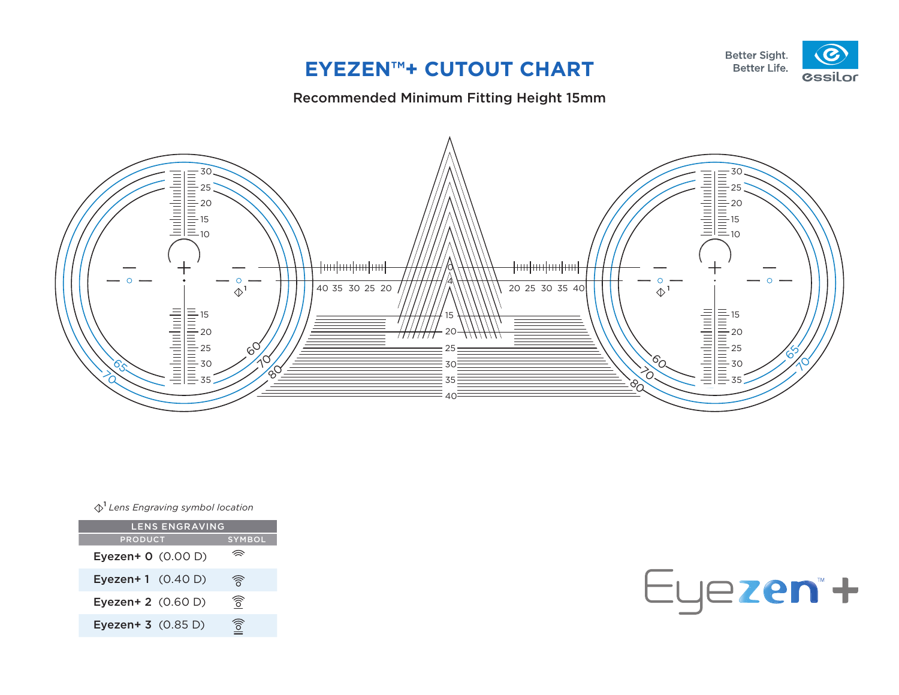### **EYEZEN™+ CUTOUT CHART**

#### Recommended Minimum Fitting Height 15mm



 $\lozenge^1$  Lens Engraving symbol location

| <b>LENS ENGRAVING</b>        |                                        |
|------------------------------|----------------------------------------|
| <b>PRODUCT</b>               | <b>SYMBOL</b>                          |
| Eyezen+ 0 (0.00 D)           |                                        |
| <b>Eyezen + 1</b> $(0.40 D)$ | রী                                     |
| Eyezen+ 2 (0.60 D)           | গী                                     |
| Eyezen+ 3 (0.85 D)           | $\left  \widehat{\circ} \right\rangle$ |

Eyezen\*+